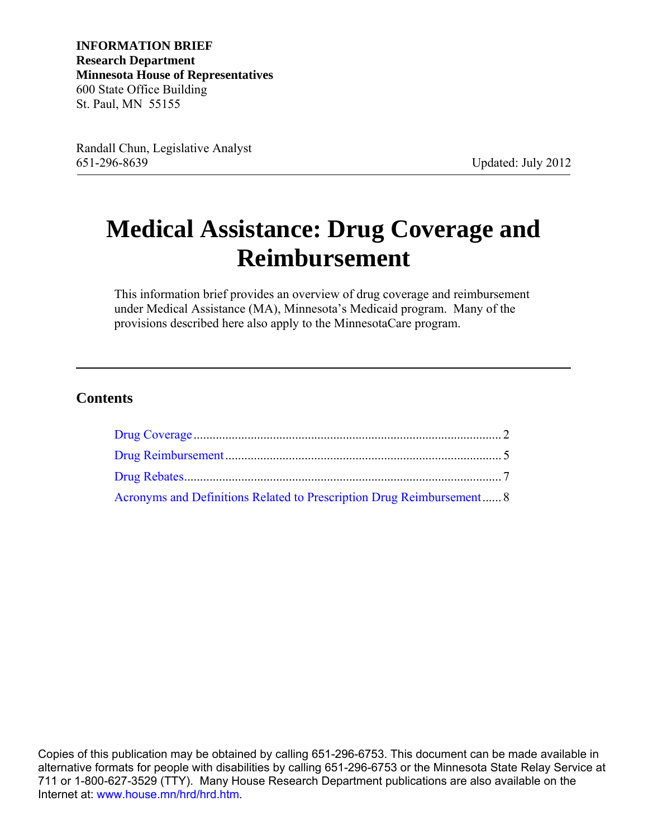**INFORMATION BRIEF Research Department Minnesota House of Representatives**  600 State Office Building St. Paul, MN 55155

Randall Chun, Legislative Analyst 651-296-8639 Updated: July 2012

# **Medical Assistance: Drug Coverage and Reimbursement**

This information brief provides an overview of drug coverage and reimbursement under Medical Assistance (MA), Minnesota's Medicaid program. Many of the provisions described here also apply to the MinnesotaCare program.

#### **Contents**

| Acronyms and Definitions Related to Prescription Drug Reimbursement 8 |  |  |
|-----------------------------------------------------------------------|--|--|

Copies of this publication may be obtained by calling 651-296-6753. This document can be made available in alternative formats for people with disabilities by calling 651-296-6753 or the Minnesota State Relay Service at 711 or 1-800-627-3529 (TTY). Many House Research Department publications are also available on the Internet at: [www.house.mn/hrd/hrd.htm.](http://www.house.mn/hrd/hrd.htm)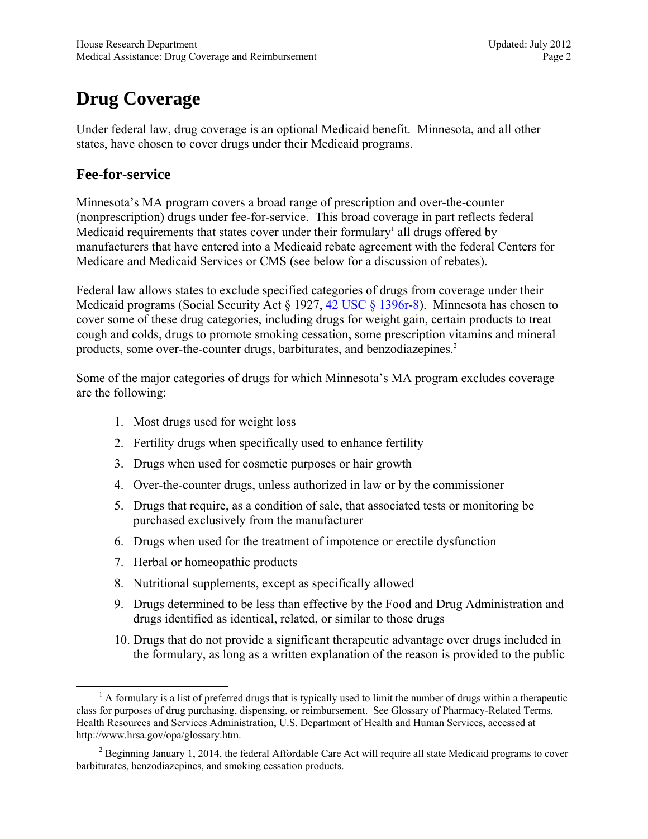## <span id="page-1-0"></span>**Drug Coverage**

Under federal law, drug coverage is an optional Medicaid benefit. Minnesota, and all other states, have chosen to cover drugs under their Medicaid programs.

#### **Fee-for-service**

Minnesota's MA program covers a broad range of prescription and over-the-counter (nonprescription) drugs under fee-for-service. This broad coverage in part reflects federal Medicaid requirements that states cover under their formulary<sup>1</sup> all drugs offered by manufacturers that have entered into a Medicaid rebate agreement with the federal Centers for Medicare and Medicaid Services or CMS (see below for a discussion of rebates).

Federal law allows states to exclude specified categories of drugs from coverage under their Medicaid programs (Social Security Act § 1927, [42 USC § 1396r-8\)](http://www.law.cornell.edu/uscode/text/42/1396b). Minnesota has chosen to cover some of these drug categories, including drugs for weight gain, certain products to treat cough and colds, drugs to promote smoking cessation, some prescription vitamins and mineral products, some over-the-counter drugs, barbiturates, and benzodiazepines.<sup>2</sup>

Some of the major categories of drugs for which Minnesota's MA program excludes coverage are the following:

- 1. Most drugs used for weight loss
- 2. Fertility drugs when specifically used to enhance fertility
- 3. Drugs when used for cosmetic purposes or hair growth
- 4. Over-the-counter drugs, unless authorized in law or by the commissioner
- 5. Drugs that require, as a condition of sale, that associated tests or monitoring be purchased exclusively from the manufacturer
- 6. Drugs when used for the treatment of impotence or erectile dysfunction
- 7. Herbal or homeopathic products
- 8. Nutritional supplements, except as specifically allowed
- 9. Drugs determined to be less than effective by the Food and Drug Administration and drugs identified as identical, related, or similar to those drugs
- 10. Drugs that do not provide a significant therapeutic advantage over drugs included in the formulary, as long as a written explanation of the reason is provided to the public

 $\frac{1}{1}$  $^1$  A formulary is a list of preferred drugs that is typically used to limit the number of drugs within a therapeutic class for purposes of drug purchasing, dispensing, or reimbursement. See Glossary of Pharmacy-Related Terms, Health Resources and Services Administration, U.S. Department of Health and Human Services, accessed at http://www.hrsa.gov/opa/glossary.htm.

 $2^2$  Beginning January 1, 2014, the federal Affordable Care Act will require all state Medicaid programs to cover barbiturates, benzodiazepines, and smoking cessation products.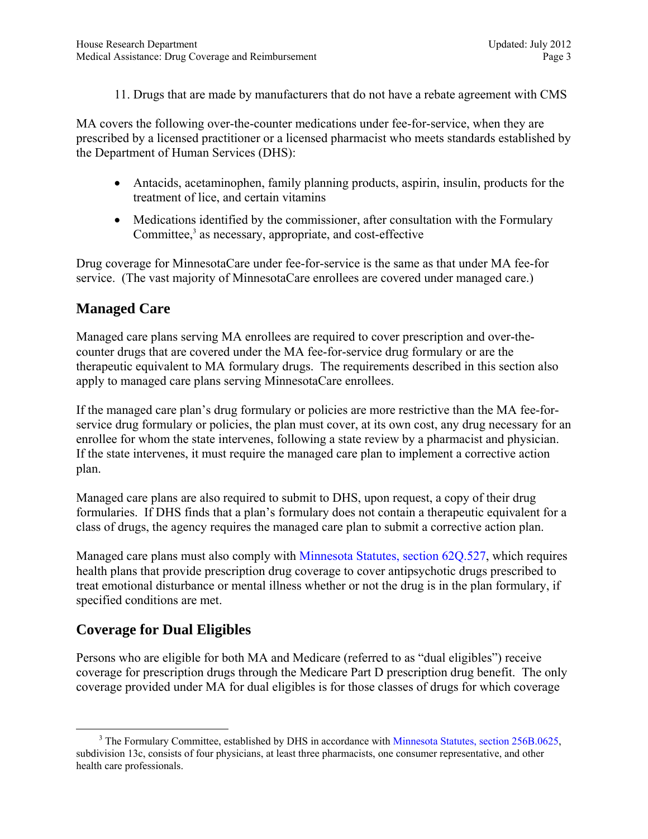11. Drugs that are made by manufacturers that do not have a rebate agreement with CMS

MA covers the following over-the-counter medications under fee-for-service, when they are prescribed by a licensed practitioner or a licensed pharmacist who meets standards established by the Department of Human Services (DHS):

- Antacids, acetaminophen, family planning products, aspirin, insulin, products for the treatment of lice, and certain vitamins
- Medications identified by the commissioner, after consultation with the Formulary Committee,<sup>3</sup> as necessary, appropriate, and cost-effective

Drug coverage for MinnesotaCare under fee-for-service is the same as that under MA fee-for service. (The vast majority of MinnesotaCare enrollees are covered under managed care.)

#### **Managed Care**

Managed care plans serving MA enrollees are required to cover prescription and over-thecounter drugs that are covered under the MA fee-for-service drug formulary or are the therapeutic equivalent to MA formulary drugs. The requirements described in this section also apply to managed care plans serving MinnesotaCare enrollees.

If the managed care plan's drug formulary or policies are more restrictive than the MA fee-forservice drug formulary or policies, the plan must cover, at its own cost, any drug necessary for an enrollee for whom the state intervenes, following a state review by a pharmacist and physician. If the state intervenes, it must require the managed care plan to implement a corrective action plan.

Managed care plans are also required to submit to DHS, upon request, a copy of their drug formularies. If DHS finds that a plan's formulary does not contain a therapeutic equivalent for a class of drugs, the agency requires the managed care plan to submit a corrective action plan.

Managed care plans must also comply with [Minnesota Statutes, section 62Q.527](https://www.revisor.mn.gov/statutes/?id=62Q.527), which requires health plans that provide prescription drug coverage to cover antipsychotic drugs prescribed to treat emotional disturbance or mental illness whether or not the drug is in the plan formulary, if specified conditions are met.

#### **Coverage for Dual Eligibles**

Persons who are eligible for both MA and Medicare (referred to as "dual eligibles") receive coverage for prescription drugs through the Medicare Part D prescription drug benefit. The only coverage provided under MA for dual eligibles is for those classes of drugs for which coverage

 $\frac{1}{3}$ <sup>3</sup> The Formulary Committee, established by DHS in accordance with [Minnesota Statutes, section 256B.0625,](https://www.revisor.mn.gov/statutes/?id=256B.0625) subdivision 13c, consists of four physicians, at least three pharmacists, one consumer representative, and other health care professionals.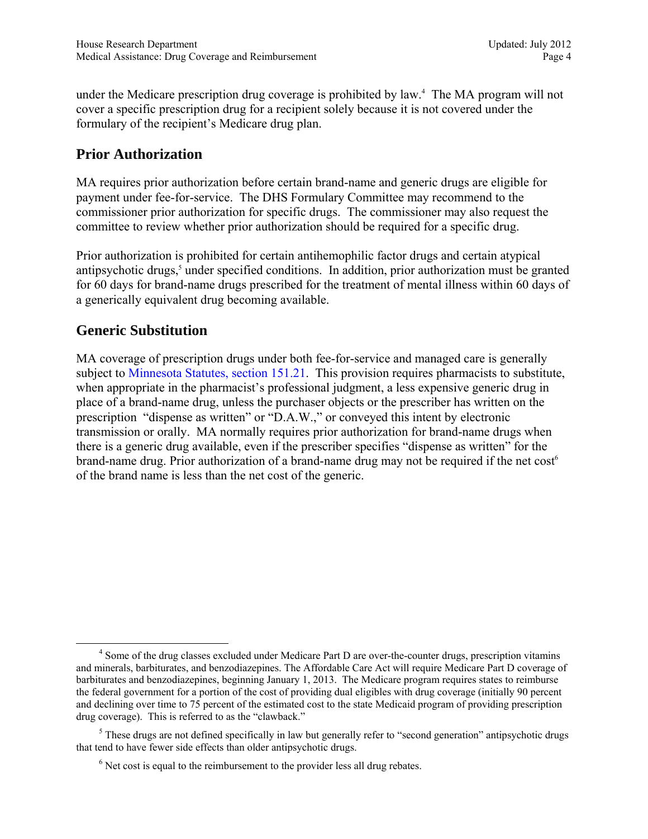under the Medicare prescription drug coverage is prohibited by law.4 The MA program will not cover a specific prescription drug for a recipient solely because it is not covered under the formulary of the recipient's Medicare drug plan.

#### **Prior Authorization**

MA requires prior authorization before certain brand-name and generic drugs are eligible for payment under fee-for-service. The DHS Formulary Committee may recommend to the commissioner prior authorization for specific drugs. The commissioner may also request the committee to review whether prior authorization should be required for a specific drug.

Prior authorization is prohibited for certain antihemophilic factor drugs and certain atypical antipsychotic drugs,<sup>5</sup> under specified conditions. In addition, prior authorization must be granted for 60 days for brand-name drugs prescribed for the treatment of mental illness within 60 days of a generically equivalent drug becoming available.

#### **Generic Substitution**

MA coverage of prescription drugs under both fee-for-service and managed care is generally subject to [Minnesota Statutes, section 151.21.](https://www.revisor.mn.gov/statutes/?id=151.21) This provision requires pharmacists to substitute, when appropriate in the pharmacist's professional judgment, a less expensive generic drug in place of a brand-name drug, unless the purchaser objects or the prescriber has written on the prescription "dispense as written" or "D.A.W.," or conveyed this intent by electronic transmission or orally. MA normally requires prior authorization for brand-name drugs when there is a generic drug available, even if the prescriber specifies "dispense as written" for the brand-name drug. Prior authorization of a brand-name drug may not be required if the net cost<sup>6</sup> of the brand name is less than the net cost of the generic.

 $\overline{4}$ <sup>4</sup> Some of the drug classes excluded under Medicare Part D are over-the-counter drugs, prescription vitamins and minerals, barbiturates, and benzodiazepines. The Affordable Care Act will require Medicare Part D coverage of barbiturates and benzodiazepines, beginning January 1, 2013. The Medicare program requires states to reimburse the federal government for a portion of the cost of providing dual eligibles with drug coverage (initially 90 percent and declining over time to 75 percent of the estimated cost to the state Medicaid program of providing prescription drug coverage). This is referred to as the "clawback."

<sup>&</sup>lt;sup>5</sup> These drugs are not defined specifically in law but generally refer to "second generation" antipsychotic drugs that tend to have fewer side effects than older antipsychotic drugs.

 $<sup>6</sup>$  Net cost is equal to the reimbursement to the provider less all drug rebates.</sup>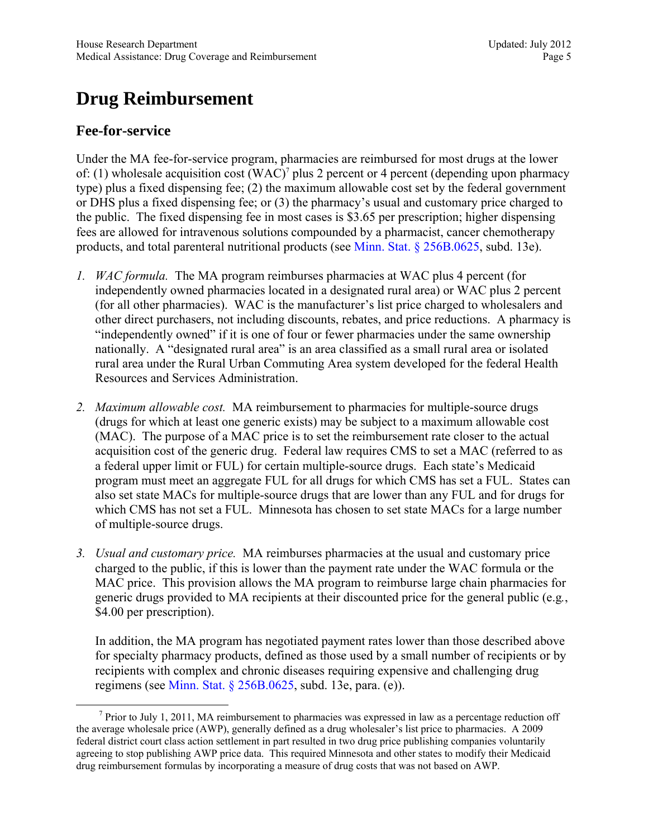## <span id="page-4-0"></span>**Drug Reimbursement**

#### **Fee-for-service**

Under the MA fee-for-service program, pharmacies are reimbursed for most drugs at the lower of: (1) wholesale acquisition cost  $(WAC)^7$  plus 2 percent or 4 percent (depending upon pharmacy type) plus a fixed dispensing fee; (2) the maximum allowable cost set by the federal government or DHS plus a fixed dispensing fee; or (3) the pharmacy's usual and customary price charged to the public. The fixed dispensing fee in most cases is \$3.65 per prescription; higher dispensing fees are allowed for intravenous solutions compounded by a pharmacist, cancer chemotherapy products, and total parenteral nutritional products (see [Minn. Stat. § 256B.0625,](https://www.revisor.mn.gov/statutes/?id=256B.0625) subd. 13e).

- *1. WAC formula.* The MA program reimburses pharmacies at WAC plus 4 percent (for independently owned pharmacies located in a designated rural area) or WAC plus 2 percent (for all other pharmacies). WAC is the manufacturer's list price charged to wholesalers and other direct purchasers, not including discounts, rebates, and price reductions. A pharmacy is "independently owned" if it is one of four or fewer pharmacies under the same ownership nationally. A "designated rural area" is an area classified as a small rural area or isolated rural area under the Rural Urban Commuting Area system developed for the federal Health Resources and Services Administration.
- *2. Maximum allowable cost.* MA reimbursement to pharmacies for multiple-source drugs (drugs for which at least one generic exists) may be subject to a maximum allowable cost (MAC). The purpose of a MAC price is to set the reimbursement rate closer to the actual acquisition cost of the generic drug. Federal law requires CMS to set a MAC (referred to as a federal upper limit or FUL) for certain multiple-source drugs. Each state's Medicaid program must meet an aggregate FUL for all drugs for which CMS has set a FUL. States can also set state MACs for multiple-source drugs that are lower than any FUL and for drugs for which CMS has not set a FUL. Minnesota has chosen to set state MACs for a large number of multiple-source drugs.
- *3. Usual and customary price.* MA reimburses pharmacies at the usual and customary price charged to the public, if this is lower than the payment rate under the WAC formula or the MAC price. This provision allows the MA program to reimburse large chain pharmacies for generic drugs provided to MA recipients at their discounted price for the general public (e.g*.*, \$4.00 per prescription).

In addition, the MA program has negotiated payment rates lower than those described above for specialty pharmacy products, defined as those used by a small number of recipients or by recipients with complex and chronic diseases requiring expensive and challenging drug regimens (see [Minn. Stat. § 256B.0625,](https://www.revisor.mn.gov/statutes/?id=256B.0625) subd. 13e, para. (e)).

 $\frac{1}{7}$  $\frac{7}{1}$  Prior to July 1, 2011, MA reimbursement to pharmacies was expressed in law as a percentage reduction off the average wholesale price (AWP), generally defined as a drug wholesaler's list price to pharmacies. A 2009 federal district court class action settlement in part resulted in two drug price publishing companies voluntarily agreeing to stop publishing AWP price data. This required Minnesota and other states to modify their Medicaid drug reimbursement formulas by incorporating a measure of drug costs that was not based on AWP.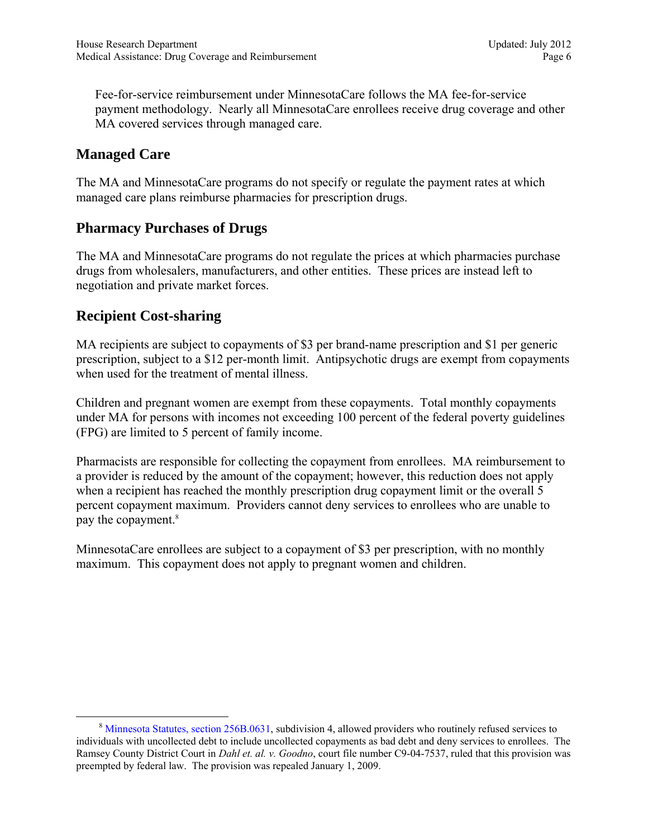Fee-for-service reimbursement under MinnesotaCare follows the MA fee-for-service payment methodology. Nearly all MinnesotaCare enrollees receive drug coverage and other MA covered services through managed care.

#### **Managed Care**

The MA and MinnesotaCare programs do not specify or regulate the payment rates at which managed care plans reimburse pharmacies for prescription drugs.

#### **Pharmacy Purchases of Drugs**

The MA and MinnesotaCare programs do not regulate the prices at which pharmacies purchase drugs from wholesalers, manufacturers, and other entities. These prices are instead left to negotiation and private market forces.

#### **Recipient Cost-sharing**

MA recipients are subject to copayments of \$3 per brand-name prescription and \$1 per generic prescription, subject to a \$12 per-month limit. Antipsychotic drugs are exempt from copayments when used for the treatment of mental illness.

Children and pregnant women are exempt from these copayments. Total monthly copayments under MA for persons with incomes not exceeding 100 percent of the federal poverty guidelines (FPG) are limited to 5 percent of family income.

Pharmacists are responsible for collecting the copayment from enrollees. MA reimbursement to a provider is reduced by the amount of the copayment; however, this reduction does not apply when a recipient has reached the monthly prescription drug copayment limit or the overall 5 percent copayment maximum. Providers cannot deny services to enrollees who are unable to pay the copayment.<sup>8</sup>

MinnesotaCare enrollees are subject to a copayment of \$3 per prescription, with no monthly maximum. This copayment does not apply to pregnant women and children.

 <sup>8</sup> [Minnesota Statutes, section 256B.0631,](https://www.revisor.mn.gov/statutes/?id=256B.0631) subdivision 4, allowed providers who routinely refused services to individuals with uncollected debt to include uncollected copayments as bad debt and deny services to enrollees. The Ramsey County District Court in *Dahl et. al. v. Goodno*, court file number C9-04-7537, ruled that this provision was preempted by federal law. The provision was repealed January 1, 2009.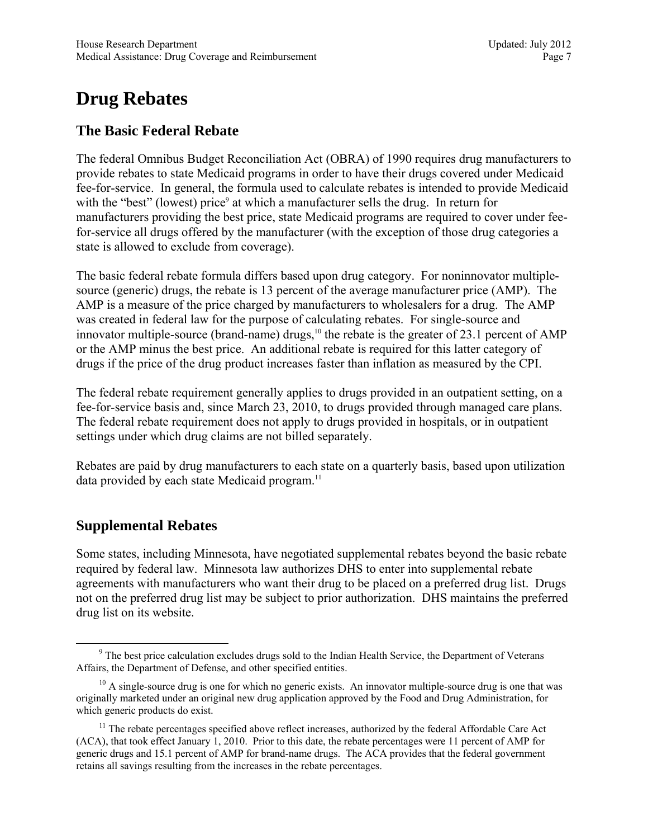### <span id="page-6-0"></span>**Drug Rebates**

#### **The Basic Federal Rebate**

The federal Omnibus Budget Reconciliation Act (OBRA) of 1990 requires drug manufacturers to provide rebates to state Medicaid programs in order to have their drugs covered under Medicaid fee-for-service. In general, the formula used to calculate rebates is intended to provide Medicaid with the "best" (lowest) price<sup>9</sup> at which a manufacturer sells the drug. In return for manufacturers providing the best price, state Medicaid programs are required to cover under feefor-service all drugs offered by the manufacturer (with the exception of those drug categories a state is allowed to exclude from coverage).

The basic federal rebate formula differs based upon drug category. For noninnovator multiplesource (generic) drugs, the rebate is 13 percent of the average manufacturer price (AMP). The AMP is a measure of the price charged by manufacturers to wholesalers for a drug. The AMP was created in federal law for the purpose of calculating rebates. For single-source and innovator multiple-source (brand-name) drugs,<sup>10</sup> the rebate is the greater of 23.1 percent of AMP or the AMP minus the best price. An additional rebate is required for this latter category of drugs if the price of the drug product increases faster than inflation as measured by the CPI.

The federal rebate requirement generally applies to drugs provided in an outpatient setting, on a fee-for-service basis and, since March 23, 2010, to drugs provided through managed care plans. The federal rebate requirement does not apply to drugs provided in hospitals, or in outpatient settings under which drug claims are not billed separately.

Rebates are paid by drug manufacturers to each state on a quarterly basis, based upon utilization data provided by each state Medicaid program.<sup>11</sup>

#### **Supplemental Rebates**

Some states, including Minnesota, have negotiated supplemental rebates beyond the basic rebate required by federal law. Minnesota law authorizes DHS to enter into supplemental rebate agreements with manufacturers who want their drug to be placed on a preferred drug list. Drugs not on the preferred drug list may be subject to prior authorization. DHS maintains the preferred drug list on its website.

 <sup>9</sup> <sup>9</sup> The best price calculation excludes drugs sold to the Indian Health Service, the Department of Veterans Affairs, the Department of Defense, and other specified entities.

 $10$  A single-source drug is one for which no generic exists. An innovator multiple-source drug is one that was originally marketed under an original new drug application approved by the Food and Drug Administration, for which generic products do exist.

 $11$  The rebate percentages specified above reflect increases, authorized by the federal Affordable Care Act (ACA), that took effect January 1, 2010. Prior to this date, the rebate percentages were 11 percent of AMP for generic drugs and 15.1 percent of AMP for brand-name drugs. The ACA provides that the federal government retains all savings resulting from the increases in the rebate percentages.